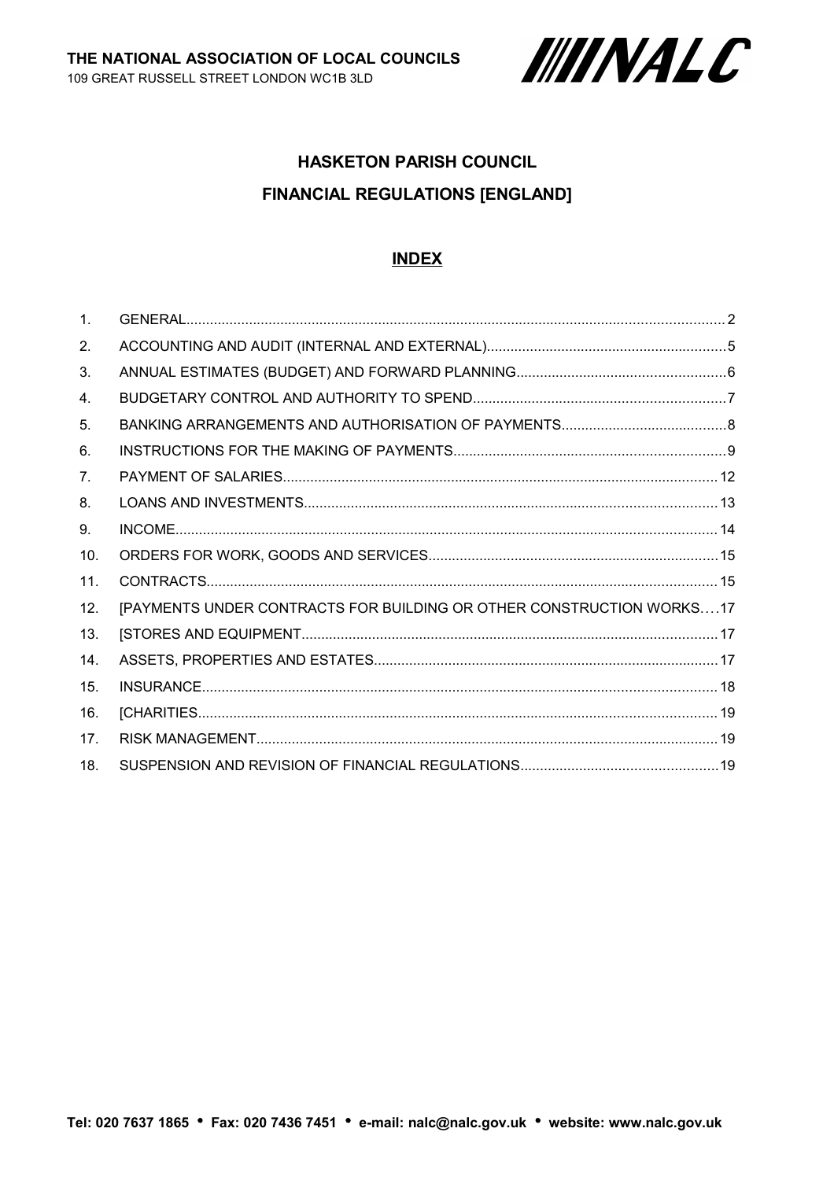

# **HASKETON PARISH COUNCIL FINANCIAL REGULATIONS [ENGLAND]**

#### <span id="page-0-0"></span>**INDEX**

| $\mathbf{1}$ . |                                                                      |  |
|----------------|----------------------------------------------------------------------|--|
| 2.             |                                                                      |  |
| 3.             |                                                                      |  |
| 4.             |                                                                      |  |
| 5.             |                                                                      |  |
| 6.             |                                                                      |  |
| 7 <sub>1</sub> |                                                                      |  |
| 8.             |                                                                      |  |
| 9.             |                                                                      |  |
| 10.            |                                                                      |  |
| 11.            |                                                                      |  |
| 12.            | [PAYMENTS UNDER CONTRACTS FOR BUILDING OR OTHER CONSTRUCTION WORKS17 |  |
| 13.            |                                                                      |  |
| 14.            |                                                                      |  |
| 15.            |                                                                      |  |
| 16.            |                                                                      |  |
| 17.            |                                                                      |  |
| 18.            |                                                                      |  |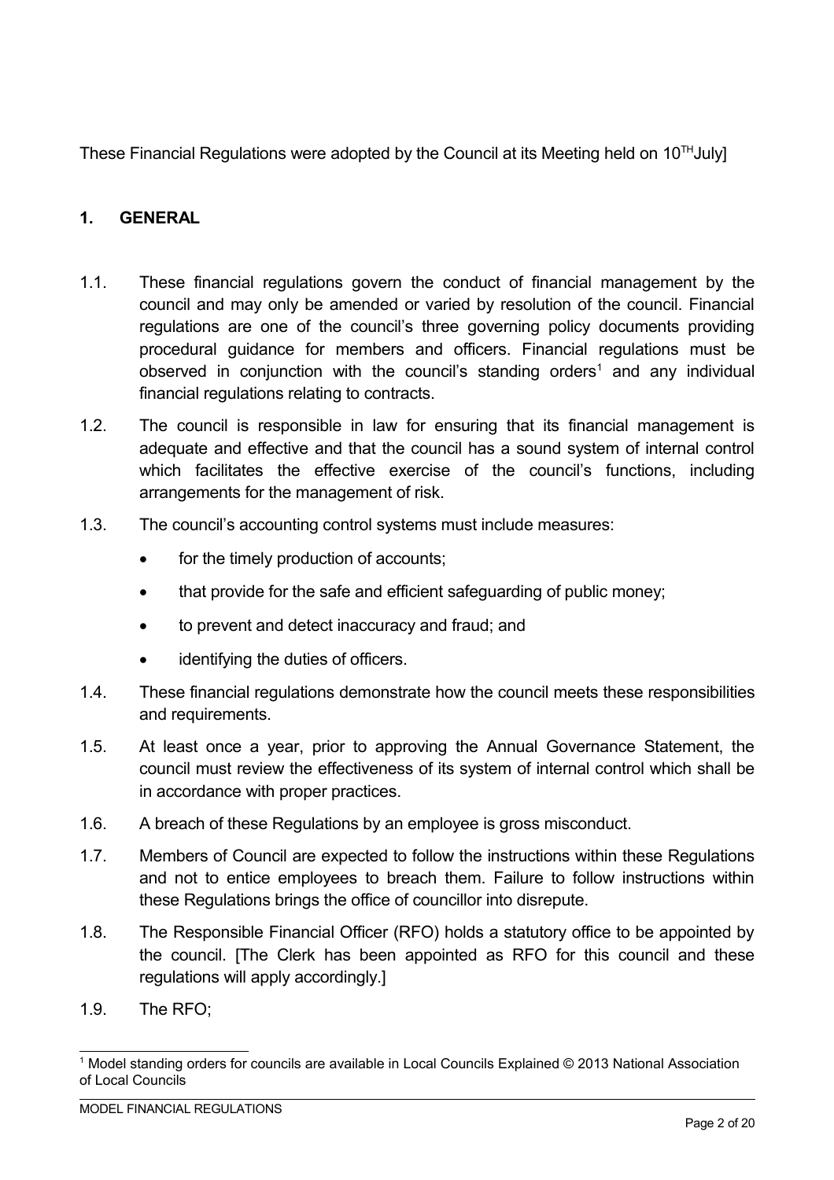These Financial Regulations were adopted by the Council at its Meeting held on  $10^{TH}$ Julyl

## <span id="page-1-0"></span>**1. GENERAL**

- 1.1. These financial regulations govern the conduct of financial management by the council and may only be amended or varied by resolution of the council. Financial regulations are one of the council's three governing policy documents providing procedural guidance for members and officers. Financial regulations must be observed in conjunction with the council's standing orders<sup>[1](#page-1-1)</sup> and any individual financial regulations relating to contracts.
- 1.2. The council is responsible in law for ensuring that its financial management is adequate and effective and that the council has a sound system of internal control which facilitates the effective exercise of the council's functions, including arrangements for the management of risk.
- 1.3. The council's accounting control systems must include measures:
	- for the timely production of accounts;
	- that provide for the safe and efficient safeguarding of public money;
	- to prevent and detect inaccuracy and fraud; and
	- identifying the duties of officers.
- 1.4. These financial regulations demonstrate how the council meets these responsibilities and requirements.
- 1.5. At least once a year, prior to approving the Annual Governance Statement, the council must review the effectiveness of its system of internal control which shall be in accordance with proper practices.
- 1.6. A breach of these Regulations by an employee is gross misconduct.
- 1.7. Members of Council are expected to follow the instructions within these Regulations and not to entice employees to breach them. Failure to follow instructions within these Regulations brings the office of councillor into disrepute.
- 1.8. The Responsible Financial Officer (RFO) holds a statutory office to be appointed by the council. [The Clerk has been appointed as RFO for this council and these regulations will apply accordingly.]
- 1.9. The RFO;

<span id="page-1-1"></span><sup>1</sup> Model standing orders for councils are available in Local Councils Explained © 2013 National Association of Local Councils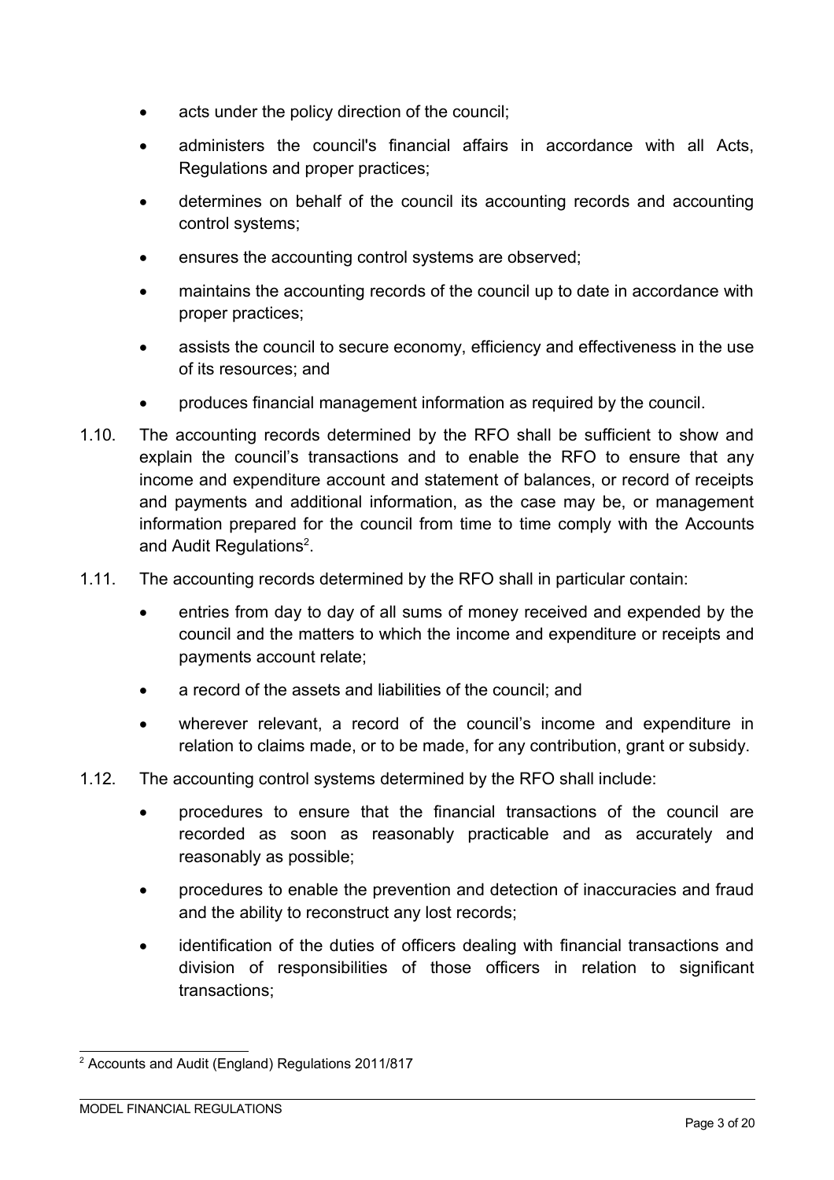- acts under the policy direction of the council;
- administers the council's financial affairs in accordance with all Acts, Regulations and proper practices;
- determines on behalf of the council its accounting records and accounting control systems;
- ensures the accounting control systems are observed;
- maintains the accounting records of the council up to date in accordance with proper practices;
- assists the council to secure economy, efficiency and effectiveness in the use of its resources; and
- produces financial management information as required by the council.
- 1.10. The accounting records determined by the RFO shall be sufficient to show and explain the council's transactions and to enable the RFO to ensure that any income and expenditure account and statement of balances, or record of receipts and payments and additional information, as the case may be, or management information prepared for the council from time to time comply with the Accounts and Audit Regulations<sup>[2](#page-2-0)</sup>.
- 1.11. The accounting records determined by the RFO shall in particular contain:
	- entries from day to day of all sums of money received and expended by the council and the matters to which the income and expenditure or receipts and payments account relate;
	- a record of the assets and liabilities of the council; and
	- wherever relevant, a record of the council's income and expenditure in relation to claims made, or to be made, for any contribution, grant or subsidy.
- 1.12. The accounting control systems determined by the RFO shall include:
	- procedures to ensure that the financial transactions of the council are recorded as soon as reasonably practicable and as accurately and reasonably as possible;
	- procedures to enable the prevention and detection of inaccuracies and fraud and the ability to reconstruct any lost records;
	- identification of the duties of officers dealing with financial transactions and division of responsibilities of those officers in relation to significant transactions;

<span id="page-2-0"></span><sup>&</sup>lt;sup>2</sup> Accounts and Audit (England) Regulations 2011/817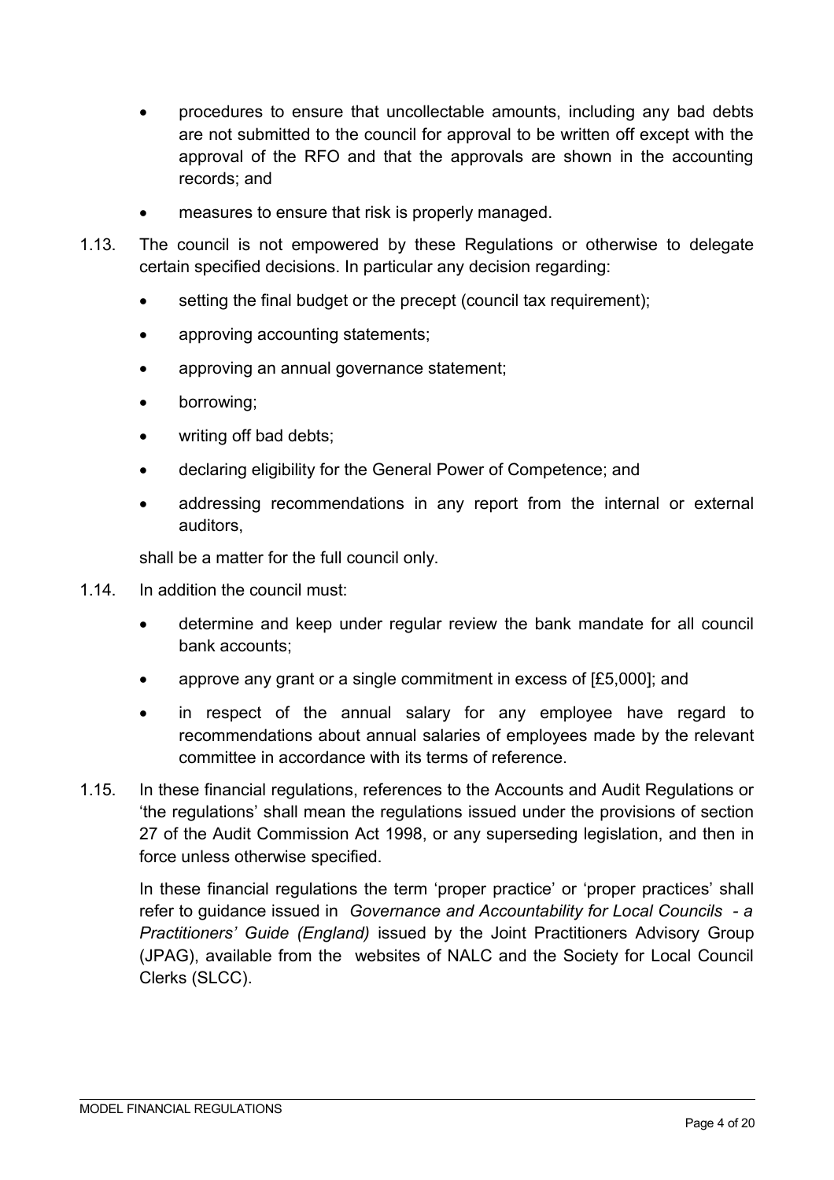- procedures to ensure that uncollectable amounts, including any bad debts are not submitted to the council for approval to be written off except with the approval of the RFO and that the approvals are shown in the accounting records; and
- measures to ensure that risk is properly managed.
- 1.13. The council is not empowered by these Regulations or otherwise to delegate certain specified decisions. In particular any decision regarding:
	- setting the final budget or the precept (council tax requirement);
	- approving accounting statements;
	- approving an annual governance statement;
	- borrowing;
	- writing off bad debts;
	- declaring eligibility for the General Power of Competence; and
	- addressing recommendations in any report from the internal or external auditors,

shall be a matter for the full council only.

- 1.14. In addition the council must:
	- determine and keep under regular review the bank mandate for all council bank accounts;
	- approve any grant or a single commitment in excess of [£5,000]; and
	- in respect of the annual salary for any employee have regard to recommendations about annual salaries of employees made by the relevant committee in accordance with its terms of reference.
- 1.15. In these financial regulations, references to the Accounts and Audit Regulations or 'the regulations' shall mean the regulations issued under the provisions of section 27 of the Audit Commission Act 1998, or any superseding legislation, and then in force unless otherwise specified.

In these financial regulations the term 'proper practice' or 'proper practices' shall refer to guidance issued in *Governance and Accountability for Local Councils - a Practitioners' Guide (England)* issued by the Joint Practitioners Advisory Group (JPAG), available from the websites of NALC and the Society for Local Council Clerks (SLCC).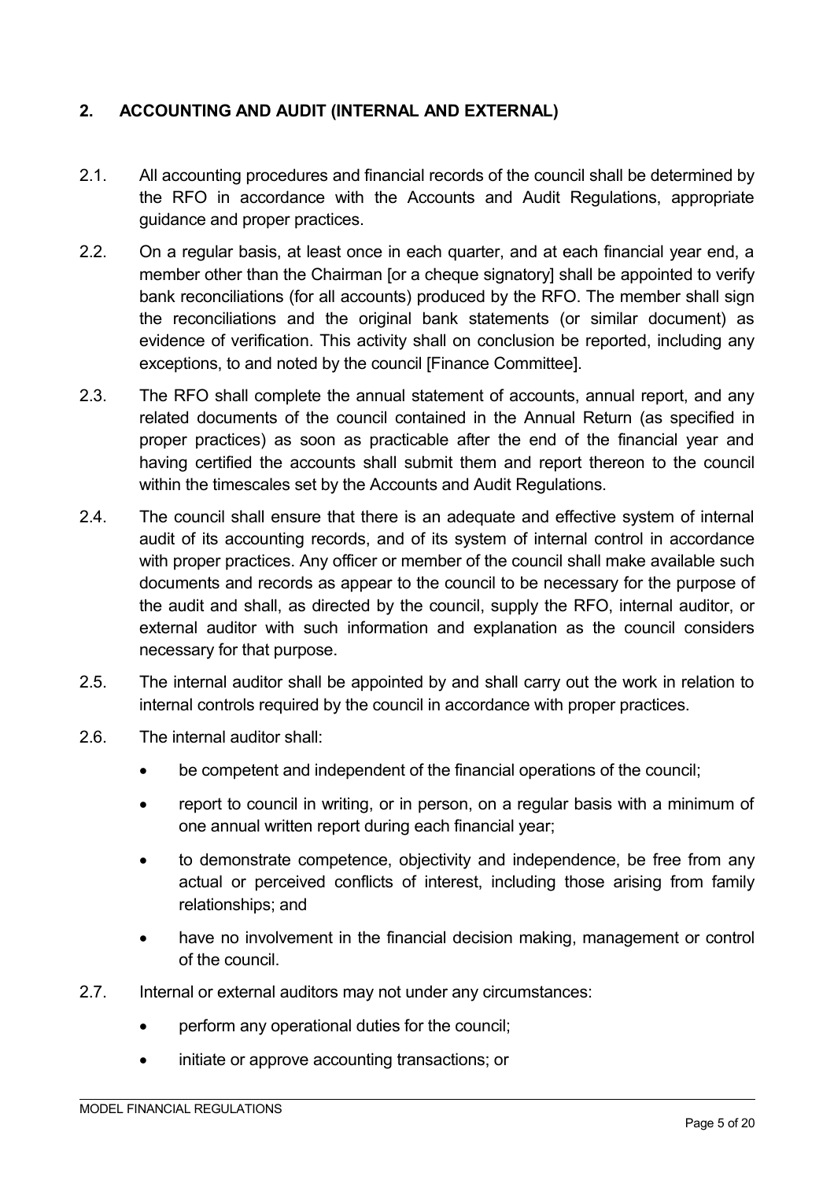## <span id="page-4-0"></span>**2. ACCOUNTING AND AUDIT (INTERNAL AND EXTERNAL)**

- 2.1. All accounting procedures and financial records of the council shall be determined by the RFO in accordance with the Accounts and Audit Regulations, appropriate guidance and proper practices.
- 2.2. On a regular basis, at least once in each quarter, and at each financial year end, a member other than the Chairman [or a cheque signatory] shall be appointed to verify bank reconciliations (for all accounts) produced by the RFO. The member shall sign the reconciliations and the original bank statements (or similar document) as evidence of verification. This activity shall on conclusion be reported, including any exceptions, to and noted by the council [Finance Committee].
- 2.3. The RFO shall complete the annual statement of accounts, annual report, and any related documents of the council contained in the Annual Return (as specified in proper practices) as soon as practicable after the end of the financial year and having certified the accounts shall submit them and report thereon to the council within the timescales set by the Accounts and Audit Regulations.
- 2.4. The council shall ensure that there is an adequate and effective system of internal audit of its accounting records, and of its system of internal control in accordance with proper practices. Any officer or member of the council shall make available such documents and records as appear to the council to be necessary for the purpose of the audit and shall, as directed by the council, supply the RFO, internal auditor, or external auditor with such information and explanation as the council considers necessary for that purpose.
- 2.5. The internal auditor shall be appointed by and shall carry out the work in relation to internal controls required by the council in accordance with proper practices.
- 2.6. The internal auditor shall:
	- be competent and independent of the financial operations of the council;
	- report to council in writing, or in person, on a regular basis with a minimum of one annual written report during each financial year;
	- to demonstrate competence, objectivity and independence, be free from any actual or perceived conflicts of interest, including those arising from family relationships; and
	- have no involvement in the financial decision making, management or control of the council.
- 2.7. Internal or external auditors may not under any circumstances:
	- perform any operational duties for the council;
	- initiate or approve accounting transactions; or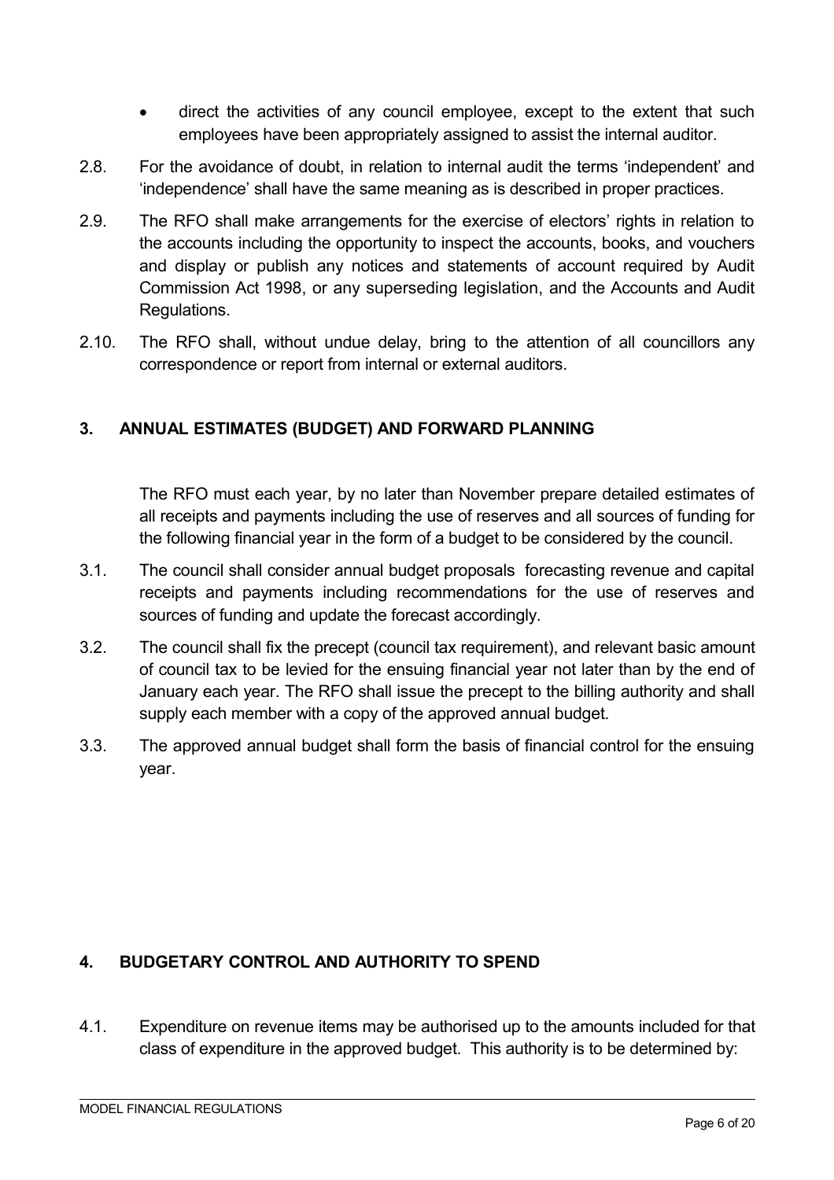- direct the activities of any council employee, except to the extent that such employees have been appropriately assigned to assist the internal auditor.
- 2.8. For the avoidance of doubt, in relation to internal audit the terms 'independent' and 'independence' shall have the same meaning as is described in proper practices.
- 2.9. The RFO shall make arrangements for the exercise of electors' rights in relation to the accounts including the opportunity to inspect the accounts, books, and vouchers and display or publish any notices and statements of account required by Audit Commission Act 1998, or any superseding legislation, and the Accounts and Audit Regulations.
- 2.10. The RFO shall, without undue delay, bring to the attention of all councillors any correspondence or report from internal or external auditors.

## <span id="page-5-1"></span>**3. ANNUAL ESTIMATES (BUDGET) AND FORWARD PLANNING**

The RFO must each year, by no later than November prepare detailed estimates of all receipts and payments including the use of reserves and all sources of funding for the following financial year in the form of a budget to be considered by the council.

- 3.1. The council shall consider annual budget proposals forecasting revenue and capital receipts and payments including recommendations for the use of reserves and sources of funding and update the forecast accordingly.
- 3.2. The council shall fix the precept (council tax requirement), and relevant basic amount of council tax to be levied for the ensuing financial year not later than by the end of January each year. The RFO shall issue the precept to the billing authority and shall supply each member with a copy of the approved annual budget.
- 3.3. The approved annual budget shall form the basis of financial control for the ensuing year.

# <span id="page-5-0"></span>**4. BUDGETARY CONTROL AND AUTHORITY TO SPEND**

4.1. Expenditure on revenue items may be authorised up to the amounts included for that class of expenditure in the approved budget. This authority is to be determined by: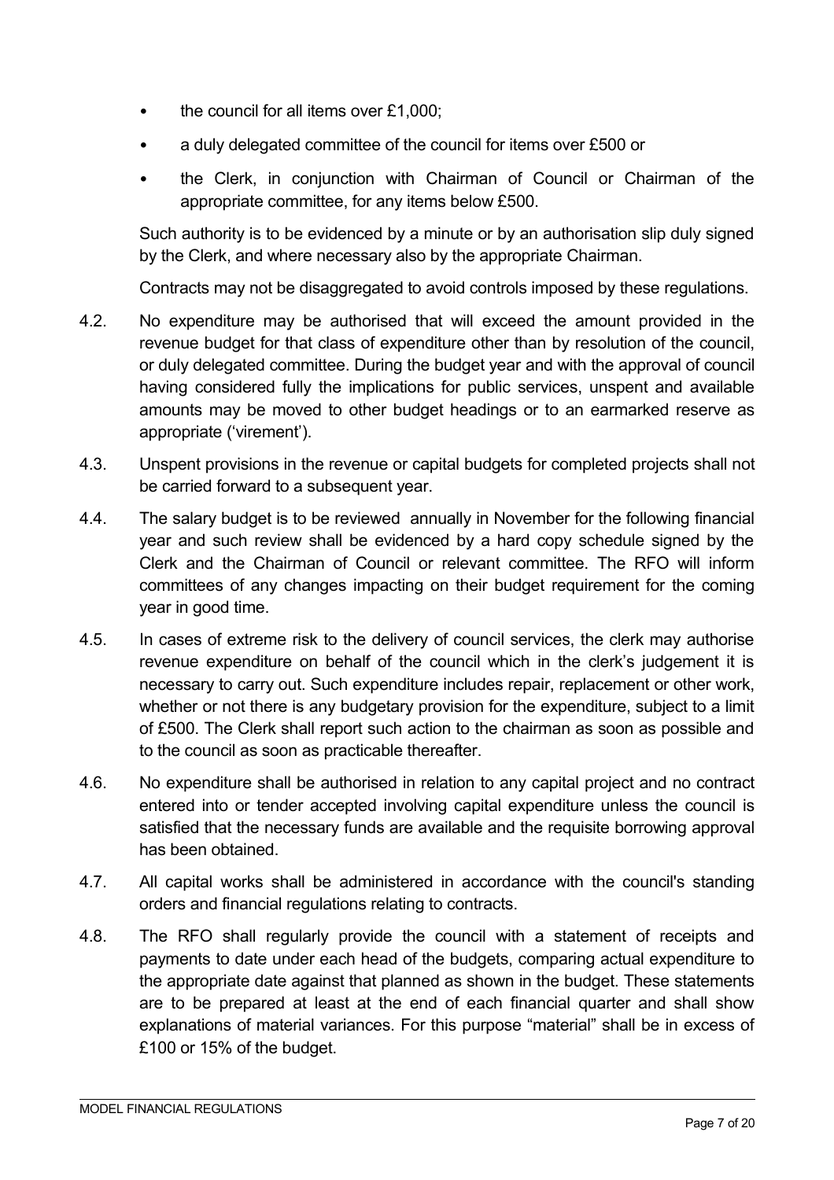- the council for all items over £1,000:
- a duly delegated committee of the council for items over £500 or
- the Clerk, in conjunction with Chairman of Council or Chairman of the appropriate committee, for any items below £500.

Such authority is to be evidenced by a minute or by an authorisation slip duly signed by the Clerk, and where necessary also by the appropriate Chairman.

Contracts may not be disaggregated to avoid controls imposed by these regulations.

- 4.2. No expenditure may be authorised that will exceed the amount provided in the revenue budget for that class of expenditure other than by resolution of the council, or duly delegated committee. During the budget year and with the approval of council having considered fully the implications for public services, unspent and available amounts may be moved to other budget headings or to an earmarked reserve as appropriate ('virement').
- 4.3. Unspent provisions in the revenue or capital budgets for completed projects shall not be carried forward to a subsequent year.
- 4.4. The salary budget is to be reviewed annually in November for the following financial year and such review shall be evidenced by a hard copy schedule signed by the Clerk and the Chairman of Council or relevant committee. The RFO will inform committees of any changes impacting on their budget requirement for the coming year in good time.
- 4.5. In cases of extreme risk to the delivery of council services, the clerk may authorise revenue expenditure on behalf of the council which in the clerk's judgement it is necessary to carry out. Such expenditure includes repair, replacement or other work, whether or not there is any budgetary provision for the expenditure, subject to a limit of £500. The Clerk shall report such action to the chairman as soon as possible and to the council as soon as practicable thereafter.
- 4.6. No expenditure shall be authorised in relation to any capital project and no contract entered into or tender accepted involving capital expenditure unless the council is satisfied that the necessary funds are available and the requisite borrowing approval has been obtained.
- 4.7. All capital works shall be administered in accordance with the council's standing orders and financial regulations relating to contracts.
- 4.8. The RFO shall regularly provide the council with a statement of receipts and payments to date under each head of the budgets, comparing actual expenditure to the appropriate date against that planned as shown in the budget. These statements are to be prepared at least at the end of each financial quarter and shall show explanations of material variances. For this purpose "material" shall be in excess of £100 or 15% of the budget.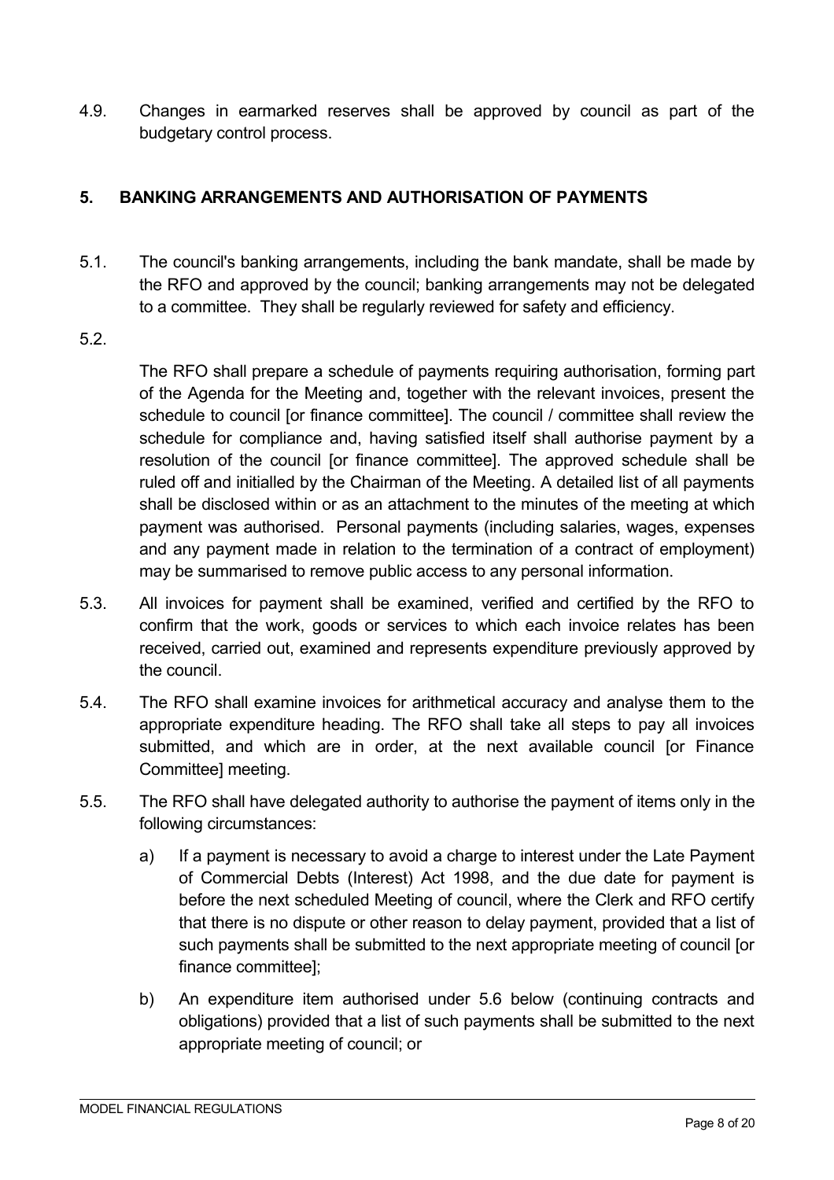4.9. Changes in earmarked reserves shall be approved by council as part of the budgetary control process.

## <span id="page-7-0"></span>**5. BANKING ARRANGEMENTS AND AUTHORISATION OF PAYMENTS**

- 5.1. The council's banking arrangements, including the bank mandate, shall be made by the RFO and approved by the council; banking arrangements may not be delegated to a committee. They shall be regularly reviewed for safety and efficiency.
- 5.2.

The RFO shall prepare a schedule of payments requiring authorisation, forming part of the Agenda for the Meeting and, together with the relevant invoices, present the schedule to council [or finance committee]. The council / committee shall review the schedule for compliance and, having satisfied itself shall authorise payment by a resolution of the council [or finance committee]. The approved schedule shall be ruled off and initialled by the Chairman of the Meeting. A detailed list of all payments shall be disclosed within or as an attachment to the minutes of the meeting at which payment was authorised. Personal payments (including salaries, wages, expenses and any payment made in relation to the termination of a contract of employment) may be summarised to remove public access to any personal information.

- 5.3. All invoices for payment shall be examined, verified and certified by the RFO to confirm that the work, goods or services to which each invoice relates has been received, carried out, examined and represents expenditure previously approved by the council.
- 5.4. The RFO shall examine invoices for arithmetical accuracy and analyse them to the appropriate expenditure heading. The RFO shall take all steps to pay all invoices submitted, and which are in order, at the next available council [or Finance Committee] meeting.
- 5.5. The RFO shall have delegated authority to authorise the payment of items only in the following circumstances:
	- a) If a payment is necessary to avoid a charge to interest under the Late Payment of Commercial Debts (Interest) Act 1998, and the due date for payment is before the next scheduled Meeting of council, where the Clerk and RFO certify that there is no dispute or other reason to delay payment, provided that a list of such payments shall be submitted to the next appropriate meeting of council [or finance committee];
	- b) An expenditure item authorised under 5.6 below (continuing contracts and obligations) provided that a list of such payments shall be submitted to the next appropriate meeting of council; or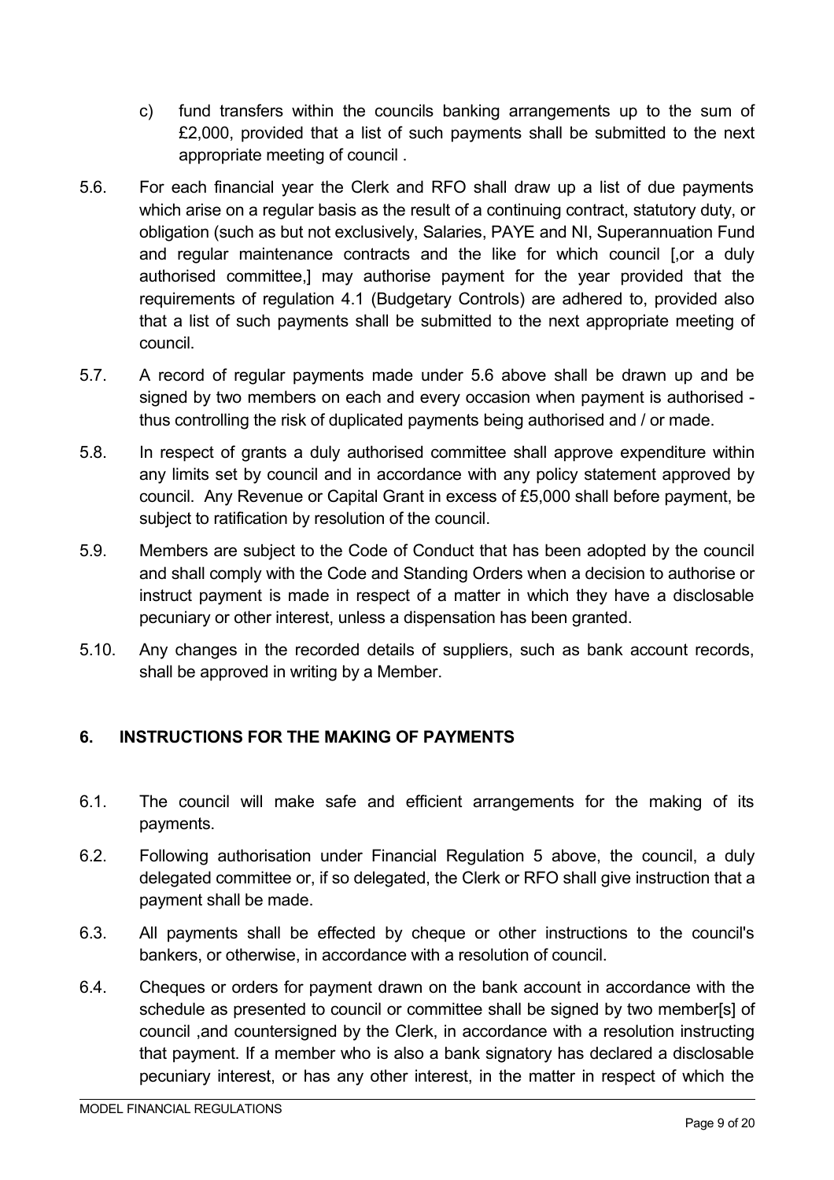- c) fund transfers within the councils banking arrangements up to the sum of £2,000, provided that a list of such payments shall be submitted to the next appropriate meeting of council .
- 5.6. For each financial year the Clerk and RFO shall draw up a list of due payments which arise on a regular basis as the result of a continuing contract, statutory duty, or obligation (such as but not exclusively, Salaries, PAYE and NI, Superannuation Fund and regular maintenance contracts and the like for which council [.or a duly authorised committee,] may authorise payment for the year provided that the requirements of regulation 4.1 (Budgetary Controls) are adhered to, provided also that a list of such payments shall be submitted to the next appropriate meeting of council.
- 5.7. A record of regular payments made under 5.6 above shall be drawn up and be signed by two members on each and every occasion when payment is authorised thus controlling the risk of duplicated payments being authorised and / or made.
- 5.8. In respect of grants a duly authorised committee shall approve expenditure within any limits set by council and in accordance with any policy statement approved by council. Any Revenue or Capital Grant in excess of £5,000 shall before payment, be subject to ratification by resolution of the council.
- 5.9. Members are subject to the Code of Conduct that has been adopted by the council and shall comply with the Code and Standing Orders when a decision to authorise or instruct payment is made in respect of a matter in which they have a disclosable pecuniary or other interest, unless a dispensation has been granted.
- 5.10. Any changes in the recorded details of suppliers, such as bank account records, shall be approved in writing by a Member.

# <span id="page-8-0"></span>**6. INSTRUCTIONS FOR THE MAKING OF PAYMENTS**

- 6.1. The council will make safe and efficient arrangements for the making of its payments.
- 6.2. Following authorisation under Financial Regulation 5 above, the council, a duly delegated committee or, if so delegated, the Clerk or RFO shall give instruction that a payment shall be made.
- 6.3. All payments shall be effected by cheque or other instructions to the council's bankers, or otherwise, in accordance with a resolution of council.
- 6.4. Cheques or orders for payment drawn on the bank account in accordance with the schedule as presented to council or committee shall be signed by two member[s] of council ,and countersigned by the Clerk, in accordance with a resolution instructing that payment. If a member who is also a bank signatory has declared a disclosable pecuniary interest, or has any other interest, in the matter in respect of which the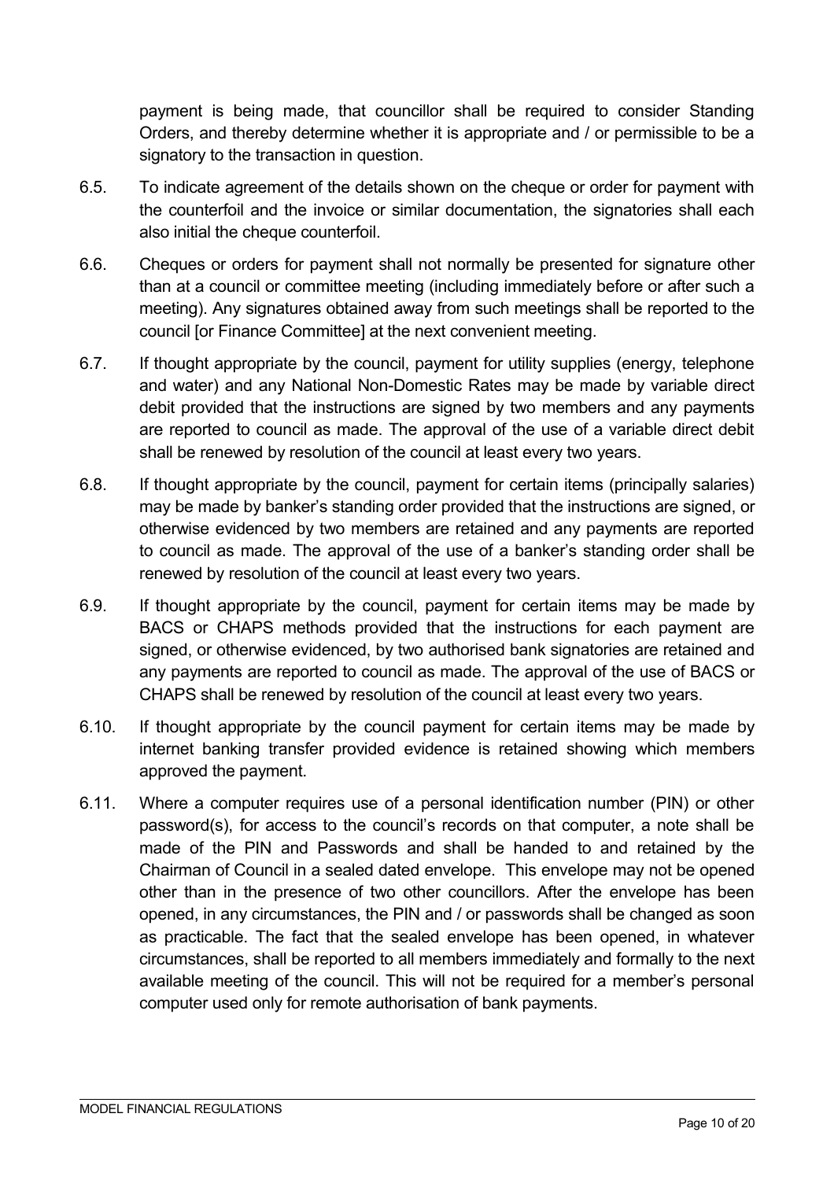payment is being made, that councillor shall be required to consider Standing Orders, and thereby determine whether it is appropriate and / or permissible to be a signatory to the transaction in question.

- 6.5. To indicate agreement of the details shown on the cheque or order for payment with the counterfoil and the invoice or similar documentation, the signatories shall each also initial the cheque counterfoil.
- 6.6. Cheques or orders for payment shall not normally be presented for signature other than at a council or committee meeting (including immediately before or after such a meeting). Any signatures obtained away from such meetings shall be reported to the council [or Finance Committee] at the next convenient meeting.
- 6.7. If thought appropriate by the council, payment for utility supplies (energy, telephone and water) and any National Non-Domestic Rates may be made by variable direct debit provided that the instructions are signed by two members and any payments are reported to council as made. The approval of the use of a variable direct debit shall be renewed by resolution of the council at least every two years.
- 6.8. If thought appropriate by the council, payment for certain items (principally salaries) may be made by banker's standing order provided that the instructions are signed, or otherwise evidenced by two members are retained and any payments are reported to council as made. The approval of the use of a banker's standing order shall be renewed by resolution of the council at least every two years.
- 6.9. If thought appropriate by the council, payment for certain items may be made by BACS or CHAPS methods provided that the instructions for each payment are signed, or otherwise evidenced, by two authorised bank signatories are retained and any payments are reported to council as made. The approval of the use of BACS or CHAPS shall be renewed by resolution of the council at least every two years.
- 6.10. If thought appropriate by the council payment for certain items may be made by internet banking transfer provided evidence is retained showing which members approved the payment.
- 6.11. Where a computer requires use of a personal identification number (PIN) or other password(s), for access to the council's records on that computer, a note shall be made of the PIN and Passwords and shall be handed to and retained by the Chairman of Council in a sealed dated envelope. This envelope may not be opened other than in the presence of two other councillors. After the envelope has been opened, in any circumstances, the PIN and / or passwords shall be changed as soon as practicable. The fact that the sealed envelope has been opened, in whatever circumstances, shall be reported to all members immediately and formally to the next available meeting of the council. This will not be required for a member's personal computer used only for remote authorisation of bank payments.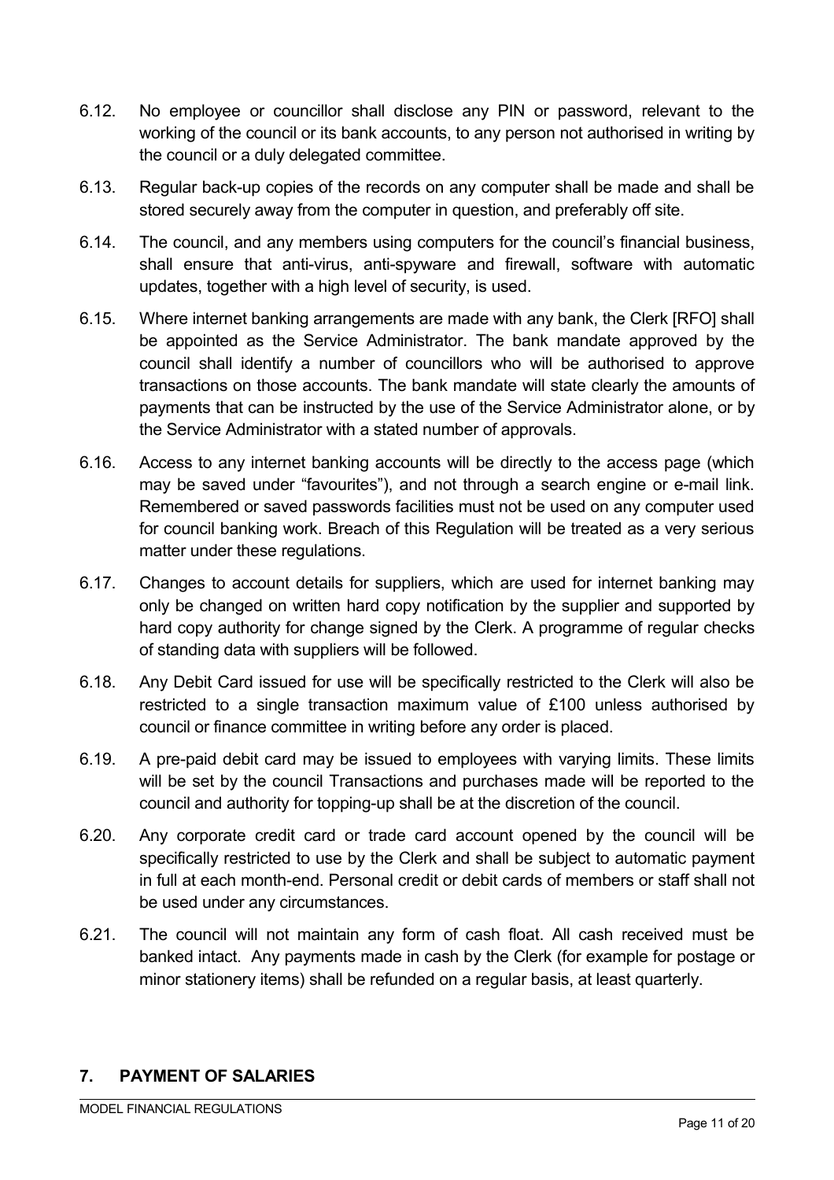- 6.12. No employee or councillor shall disclose any PIN or password, relevant to the working of the council or its bank accounts, to any person not authorised in writing by the council or a duly delegated committee.
- 6.13. Regular back-up copies of the records on any computer shall be made and shall be stored securely away from the computer in question, and preferably off site.
- 6.14. The council, and any members using computers for the council's financial business, shall ensure that anti-virus, anti-spyware and firewall, software with automatic updates, together with a high level of security, is used.
- 6.15. Where internet banking arrangements are made with any bank, the Clerk [RFO] shall be appointed as the Service Administrator. The bank mandate approved by the council shall identify a number of councillors who will be authorised to approve transactions on those accounts. The bank mandate will state clearly the amounts of payments that can be instructed by the use of the Service Administrator alone, or by the Service Administrator with a stated number of approvals.
- 6.16. Access to any internet banking accounts will be directly to the access page (which may be saved under "favourites"), and not through a search engine or e-mail link. Remembered or saved passwords facilities must not be used on any computer used for council banking work. Breach of this Regulation will be treated as a very serious matter under these regulations.
- 6.17. Changes to account details for suppliers, which are used for internet banking may only be changed on written hard copy notification by the supplier and supported by hard copy authority for change signed by the Clerk. A programme of regular checks of standing data with suppliers will be followed.
- 6.18. Any Debit Card issued for use will be specifically restricted to the Clerk will also be restricted to a single transaction maximum value of £100 unless authorised by council or finance committee in writing before any order is placed.
- 6.19. A pre-paid debit card may be issued to employees with varying limits. These limits will be set by the council Transactions and purchases made will be reported to the council and authority for topping-up shall be at the discretion of the council.
- 6.20. Any corporate credit card or trade card account opened by the council will be specifically restricted to use by the Clerk and shall be subject to automatic payment in full at each month-end. Personal credit or debit cards of members or staff shall not be used under any circumstances.
- 6.21. The council will not maintain any form of cash float. All cash received must be banked intact. Any payments made in cash by the Clerk (for example for postage or minor stationery items) shall be refunded on a regular basis, at least quarterly.

#### <span id="page-10-0"></span>**7. PAYMENT OF SALARIES**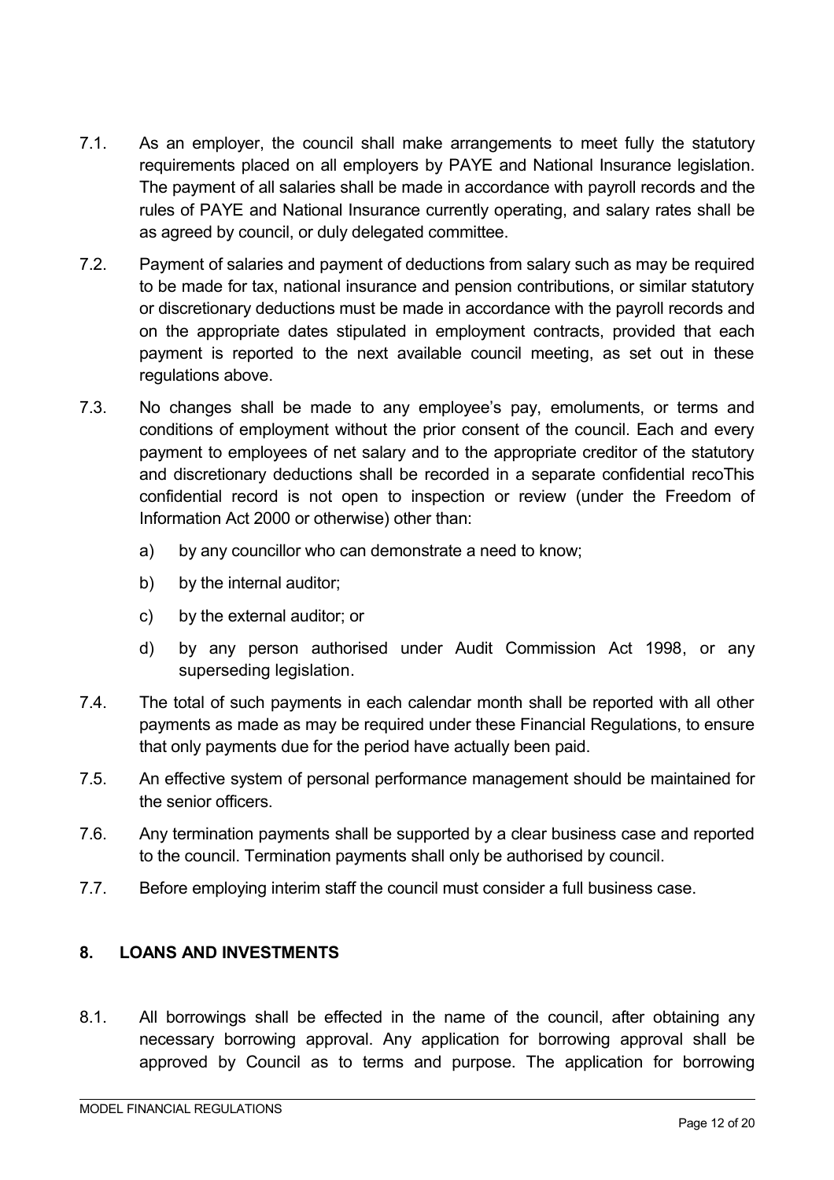- 7.1. As an employer, the council shall make arrangements to meet fully the statutory requirements placed on all employers by PAYE and National Insurance legislation. The payment of all salaries shall be made in accordance with payroll records and the rules of PAYE and National Insurance currently operating, and salary rates shall be as agreed by council, or duly delegated committee.
- 7.2. Payment of salaries and payment of deductions from salary such as may be required to be made for tax, national insurance and pension contributions, or similar statutory or discretionary deductions must be made in accordance with the payroll records and on the appropriate dates stipulated in employment contracts, provided that each payment is reported to the next available council meeting, as set out in these regulations above.
- 7.3. No changes shall be made to any employee's pay, emoluments, or terms and conditions of employment without the prior consent of the council. Each and every payment to employees of net salary and to the appropriate creditor of the statutory and discretionary deductions shall be recorded in a separate confidential recoThis confidential record is not open to inspection or review (under the Freedom of Information Act 2000 or otherwise) other than:
	- a) by any councillor who can demonstrate a need to know;
	- b) by the internal auditor;
	- c) by the external auditor; or
	- d) by any person authorised under Audit Commission Act 1998, or any superseding legislation.
- 7.4. The total of such payments in each calendar month shall be reported with all other payments as made as may be required under these Financial Regulations, to ensure that only payments due for the period have actually been paid.
- 7.5. An effective system of personal performance management should be maintained for the senior officers.
- 7.6. Any termination payments shall be supported by a clear business case and reported to the council. Termination payments shall only be authorised by council.
- 7.7. Before employing interim staff the council must consider a full business case.

### <span id="page-11-0"></span>**8. LOANS AND INVESTMENTS**

8.1. All borrowings shall be effected in the name of the council, after obtaining any necessary borrowing approval. Any application for borrowing approval shall be approved by Council as to terms and purpose. The application for borrowing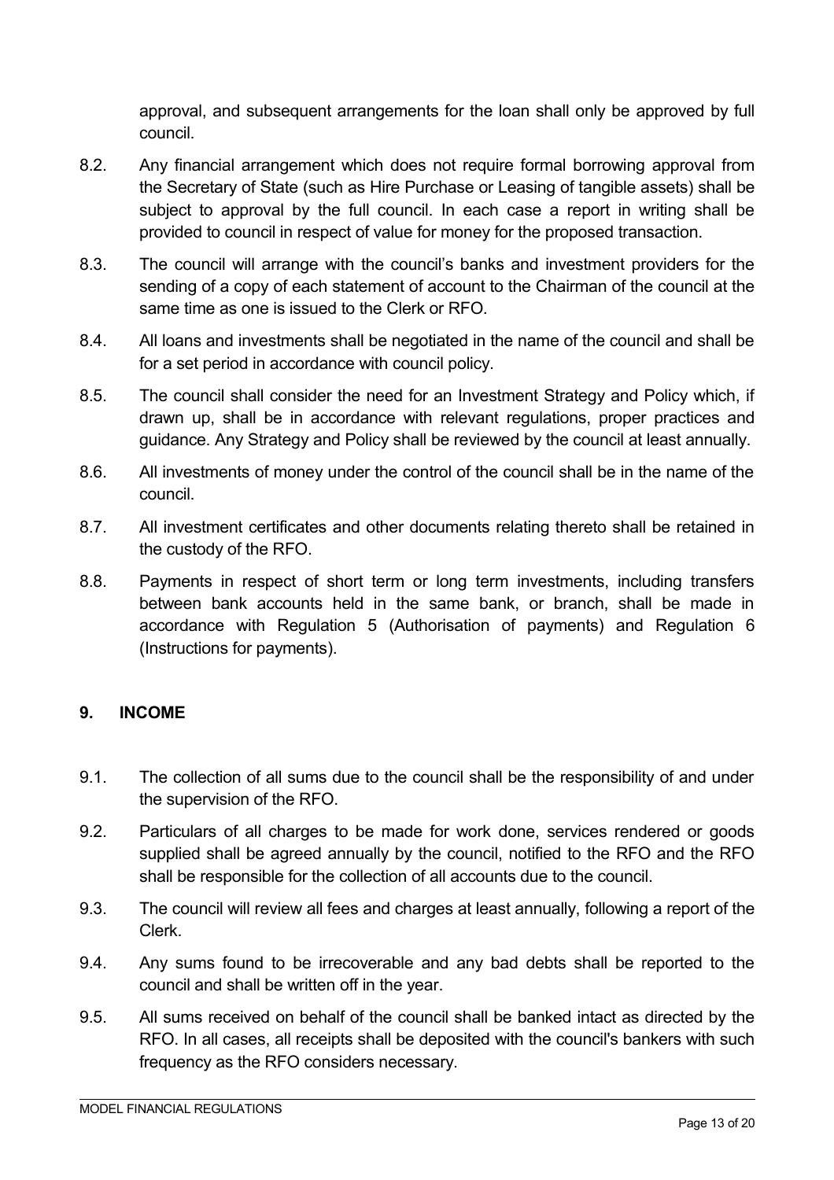approval, and subsequent arrangements for the loan shall only be approved by full council.

- 8.2. Any financial arrangement which does not require formal borrowing approval from the Secretary of State (such as Hire Purchase or Leasing of tangible assets) shall be subject to approval by the full council. In each case a report in writing shall be provided to council in respect of value for money for the proposed transaction.
- 8.3. The council will arrange with the council's banks and investment providers for the sending of a copy of each statement of account to the Chairman of the council at the same time as one is issued to the Clerk or RFO.
- 8.4. All loans and investments shall be negotiated in the name of the council and shall be for a set period in accordance with council policy.
- 8.5. The council shall consider the need for an Investment Strategy and Policy which, if drawn up, shall be in accordance with relevant regulations, proper practices and guidance. Any Strategy and Policy shall be reviewed by the council at least annually.
- 8.6. All investments of money under the control of the council shall be in the name of the council.
- 8.7. All investment certificates and other documents relating thereto shall be retained in the custody of the RFO.
- 8.8. Payments in respect of short term or long term investments, including transfers between bank accounts held in the same bank, or branch, shall be made in accordance with Regulation 5 (Authorisation of payments) and Regulation 6 (Instructions for payments).

#### <span id="page-12-0"></span>**9. INCOME**

- 9.1. The collection of all sums due to the council shall be the responsibility of and under the supervision of the RFO.
- 9.2. Particulars of all charges to be made for work done, services rendered or goods supplied shall be agreed annually by the council, notified to the RFO and the RFO shall be responsible for the collection of all accounts due to the council.
- 9.3. The council will review all fees and charges at least annually, following a report of the Clerk.
- 9.4. Any sums found to be irrecoverable and any bad debts shall be reported to the council and shall be written off in the year.
- 9.5. All sums received on behalf of the council shall be banked intact as directed by the RFO. In all cases, all receipts shall be deposited with the council's bankers with such frequency as the RFO considers necessary.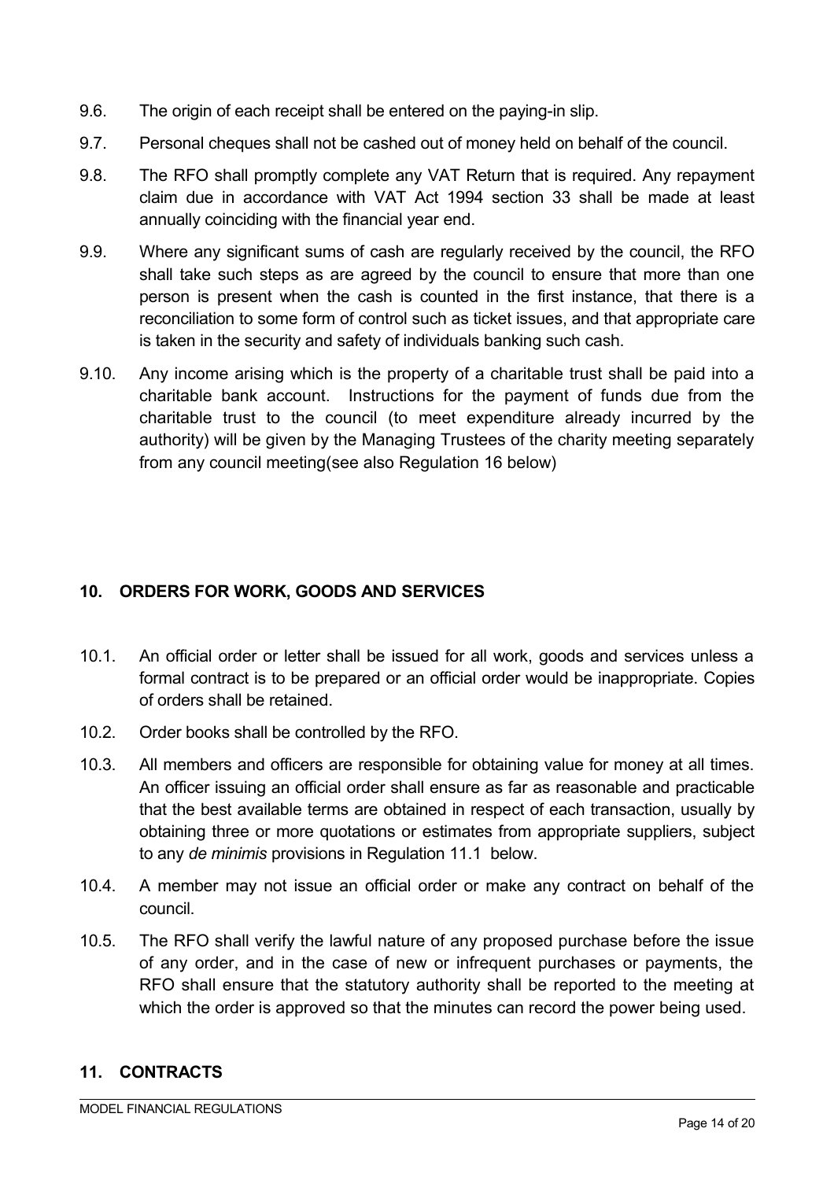- 9.6. The origin of each receipt shall be entered on the paying-in slip.
- 9.7. Personal cheques shall not be cashed out of money held on behalf of the council.
- 9.8. The RFO shall promptly complete any VAT Return that is required. Any repayment claim due in accordance with VAT Act 1994 section 33 shall be made at least annually coinciding with the financial year end.
- 9.9. Where any significant sums of cash are regularly received by the council, the RFO shall take such steps as are agreed by the council to ensure that more than one person is present when the cash is counted in the first instance, that there is a reconciliation to some form of control such as ticket issues, and that appropriate care is taken in the security and safety of individuals banking such cash.
- 9.10. Any income arising which is the property of a charitable trust shall be paid into a charitable bank account. Instructions for the payment of funds due from the charitable trust to the council (to meet expenditure already incurred by the authority) will be given by the Managing Trustees of the charity meeting separately from any council meeting(see also Regulation 16 below)

## <span id="page-13-1"></span>**10. ORDERS FOR WORK, GOODS AND SERVICES**

- 10.1. An official order or letter shall be issued for all work, goods and services unless a formal contract is to be prepared or an official order would be inappropriate. Copies of orders shall be retained.
- 10.2. Order books shall be controlled by the RFO.
- 10.3. All members and officers are responsible for obtaining value for money at all times. An officer issuing an official order shall ensure as far as reasonable and practicable that the best available terms are obtained in respect of each transaction, usually by obtaining three or more quotations or estimates from appropriate suppliers, subject to any *de minimis* provisions in Regulation 11.1 below.
- 10.4. A member may not issue an official order or make any contract on behalf of the council.
- 10.5. The RFO shall verify the lawful nature of any proposed purchase before the issue of any order, and in the case of new or infrequent purchases or payments, the RFO shall ensure that the statutory authority shall be reported to the meeting at which the order is approved so that the minutes can record the power being used.

#### <span id="page-13-0"></span>**11. CONTRACTS**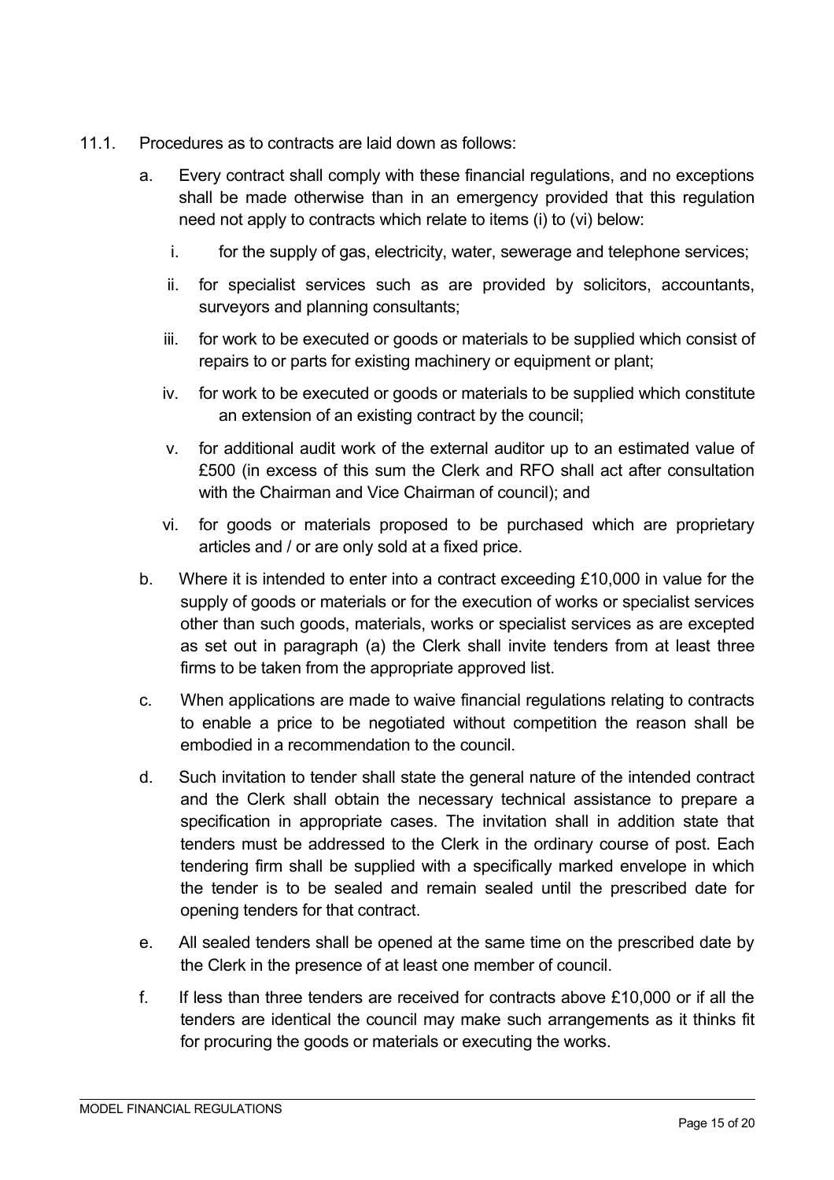- 11.1. Procedures as to contracts are laid down as follows:
	- a. Every contract shall comply with these financial regulations, and no exceptions shall be made otherwise than in an emergency provided that this regulation need not apply to contracts which relate to items (i) to (vi) below:
		- i. for the supply of gas, electricity, water, sewerage and telephone services;
		- ii. for specialist services such as are provided by solicitors, accountants, surveyors and planning consultants;
		- iii. for work to be executed or goods or materials to be supplied which consist of repairs to or parts for existing machinery or equipment or plant;
		- iv. for work to be executed or goods or materials to be supplied which constitute an extension of an existing contract by the council;
		- v. for additional audit work of the external auditor up to an estimated value of £500 (in excess of this sum the Clerk and RFO shall act after consultation with the Chairman and Vice Chairman of council); and
		- vi. for goods or materials proposed to be purchased which are proprietary articles and / or are only sold at a fixed price.
	- b. Where it is intended to enter into a contract exceeding £10,000 in value for the supply of goods or materials or for the execution of works or specialist services other than such goods, materials, works or specialist services as are excepted as set out in paragraph (a) the Clerk shall invite tenders from at least three firms to be taken from the appropriate approved list.
	- c. When applications are made to waive financial regulations relating to contracts to enable a price to be negotiated without competition the reason shall be embodied in a recommendation to the council.
	- d. Such invitation to tender shall state the general nature of the intended contract and the Clerk shall obtain the necessary technical assistance to prepare a specification in appropriate cases. The invitation shall in addition state that tenders must be addressed to the Clerk in the ordinary course of post. Each tendering firm shall be supplied with a specifically marked envelope in which the tender is to be sealed and remain sealed until the prescribed date for opening tenders for that contract.
	- e. All sealed tenders shall be opened at the same time on the prescribed date by the Clerk in the presence of at least one member of council.
	- f. If less than three tenders are received for contracts above £10,000 or if all the tenders are identical the council may make such arrangements as it thinks fit for procuring the goods or materials or executing the works.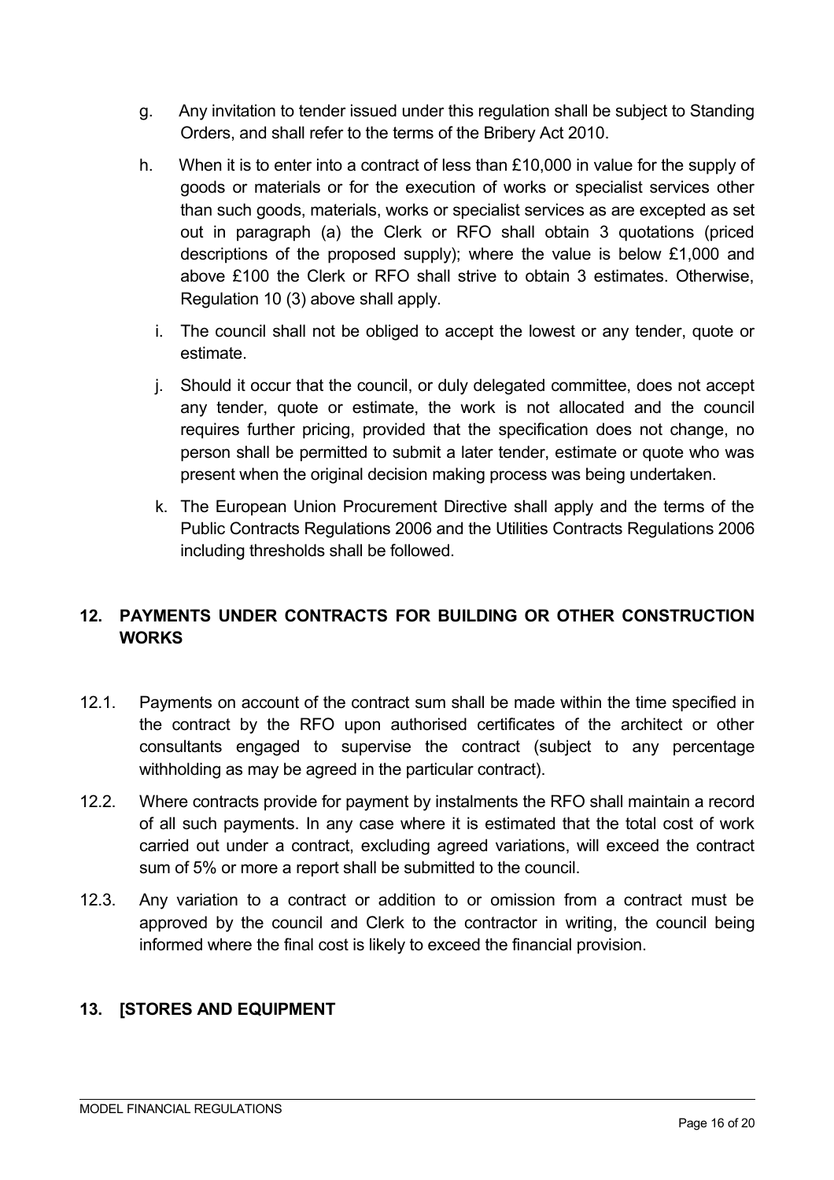- g. Any invitation to tender issued under this regulation shall be subject to Standing Orders, and shall refer to the terms of the Bribery Act 2010.
- h. When it is to enter into a contract of less than £10,000 in value for the supply of goods or materials or for the execution of works or specialist services other than such goods, materials, works or specialist services as are excepted as set out in paragraph (a) the Clerk or RFO shall obtain 3 quotations (priced descriptions of the proposed supply); where the value is below £1,000 and above £100 the Clerk or RFO shall strive to obtain 3 estimates. Otherwise, Regulation 10 (3) above shall apply.
	- i. The council shall not be obliged to accept the lowest or any tender, quote or estimate.
	- j. Should it occur that the council, or duly delegated committee, does not accept any tender, quote or estimate, the work is not allocated and the council requires further pricing, provided that the specification does not change, no person shall be permitted to submit a later tender, estimate or quote who was present when the original decision making process was being undertaken.
	- k. The European Union Procurement Directive shall apply and the terms of the Public Contracts Regulations 2006 and the Utilities Contracts Regulations 2006 including thresholds shall be followed.

# <span id="page-15-1"></span>**12. PAYMENTS UNDER CONTRACTS FOR BUILDING OR OTHER CONSTRUCTION WORKS**

- 12.1. Payments on account of the contract sum shall be made within the time specified in the contract by the RFO upon authorised certificates of the architect or other consultants engaged to supervise the contract (subject to any percentage withholding as may be agreed in the particular contract).
- 12.2. Where contracts provide for payment by instalments the RFO shall maintain a record of all such payments. In any case where it is estimated that the total cost of work carried out under a contract, excluding agreed variations, will exceed the contract sum of 5% or more a report shall be submitted to the council.
- 12.3. Any variation to a contract or addition to or omission from a contract must be approved by the council and Clerk to the contractor in writing, the council being informed where the final cost is likely to exceed the financial provision.

# <span id="page-15-0"></span>**13. [STORES AND EQUIPMENT**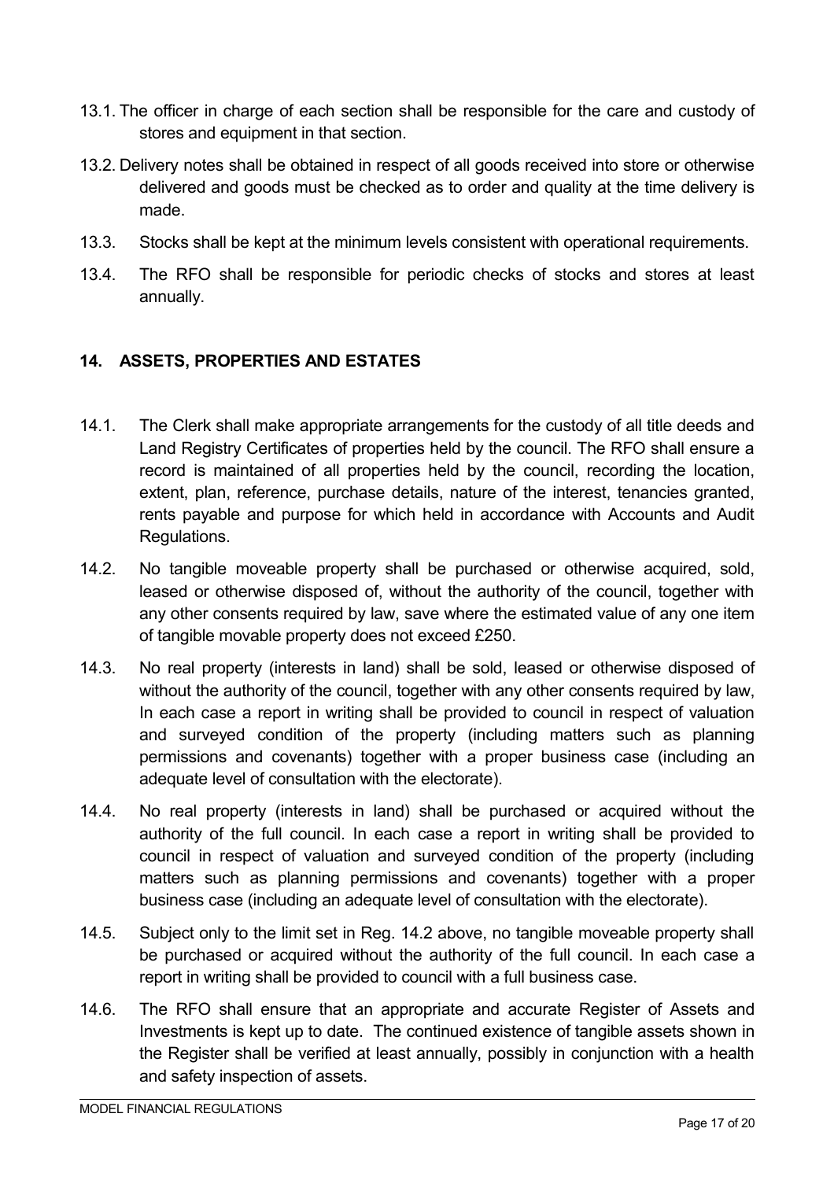- 13.1. The officer in charge of each section shall be responsible for the care and custody of stores and equipment in that section.
- 13.2. Delivery notes shall be obtained in respect of all goods received into store or otherwise delivered and goods must be checked as to order and quality at the time delivery is made.
- 13.3. Stocks shall be kept at the minimum levels consistent with operational requirements.
- 13.4. The RFO shall be responsible for periodic checks of stocks and stores at least annually.

# <span id="page-16-0"></span>**14. ASSETS, PROPERTIES AND ESTATES**

- 14.1. The Clerk shall make appropriate arrangements for the custody of all title deeds and Land Registry Certificates of properties held by the council. The RFO shall ensure a record is maintained of all properties held by the council, recording the location, extent, plan, reference, purchase details, nature of the interest, tenancies granted, rents payable and purpose for which held in accordance with Accounts and Audit Regulations.
- 14.2. No tangible moveable property shall be purchased or otherwise acquired, sold, leased or otherwise disposed of, without the authority of the council, together with any other consents required by law, save where the estimated value of any one item of tangible movable property does not exceed £250.
- 14.3. No real property (interests in land) shall be sold, leased or otherwise disposed of without the authority of the council, together with any other consents required by law, In each case a report in writing shall be provided to council in respect of valuation and surveyed condition of the property (including matters such as planning permissions and covenants) together with a proper business case (including an adequate level of consultation with the electorate).
- 14.4. No real property (interests in land) shall be purchased or acquired without the authority of the full council. In each case a report in writing shall be provided to council in respect of valuation and surveyed condition of the property (including matters such as planning permissions and covenants) together with a proper business case (including an adequate level of consultation with the electorate).
- 14.5. Subject only to the limit set in Reg. 14.2 above, no tangible moveable property shall be purchased or acquired without the authority of the full council. In each case a report in writing shall be provided to council with a full business case.
- 14.6. The RFO shall ensure that an appropriate and accurate Register of Assets and Investments is kept up to date. The continued existence of tangible assets shown in the Register shall be verified at least annually, possibly in conjunction with a health and safety inspection of assets.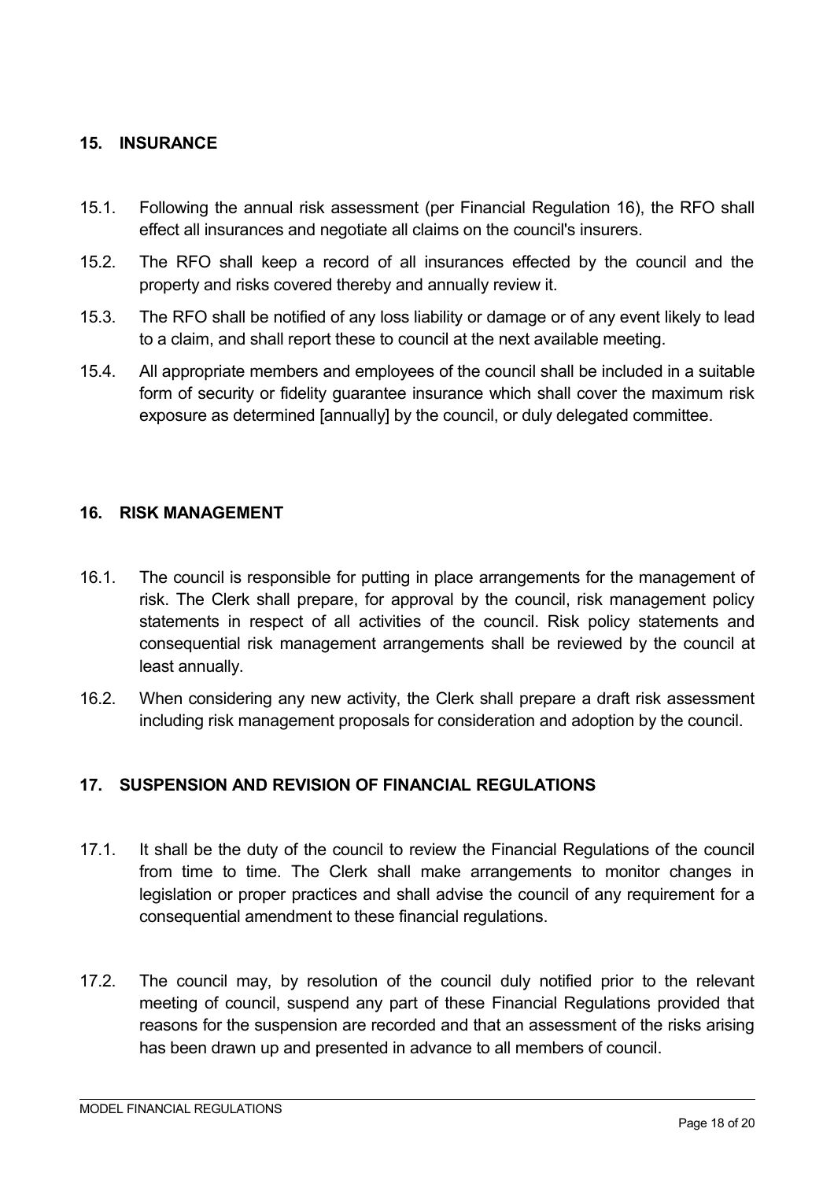#### <span id="page-17-2"></span>**15. INSURANCE**

- 15.1. Following the annual risk assessment (per Financial Regulation 16), the RFO shall effect all insurances and negotiate all claims on the council's insurers.
- 15.2. The RFO shall keep a record of all insurances effected by the council and the property and risks covered thereby and annually review it.
- 15.3. The RFO shall be notified of any loss liability or damage or of any event likely to lead to a claim, and shall report these to council at the next available meeting.
- 15.4. All appropriate members and employees of the council shall be included in a suitable form of security or fidelity guarantee insurance which shall cover the maximum risk exposure as determined [annually] by the council, or duly delegated committee.

#### <span id="page-17-1"></span>**16. RISK MANAGEMENT**

- 16.1. The council is responsible for putting in place arrangements for the management of risk. The Clerk shall prepare, for approval by the council, risk management policy statements in respect of all activities of the council. Risk policy statements and consequential risk management arrangements shall be reviewed by the council at least annually.
- 16.2. When considering any new activity, the Clerk shall prepare a draft risk assessment including risk management proposals for consideration and adoption by the council.

#### <span id="page-17-0"></span>**17. SUSPENSION AND REVISION OF FINANCIAL REGULATIONS**

- 17.1. It shall be the duty of the council to review the Financial Regulations of the council from time to time. The Clerk shall make arrangements to monitor changes in legislation or proper practices and shall advise the council of any requirement for a consequential amendment to these financial regulations.
- 17.2. The council may, by resolution of the council duly notified prior to the relevant meeting of council, suspend any part of these Financial Regulations provided that reasons for the suspension are recorded and that an assessment of the risks arising has been drawn up and presented in advance to all members of council.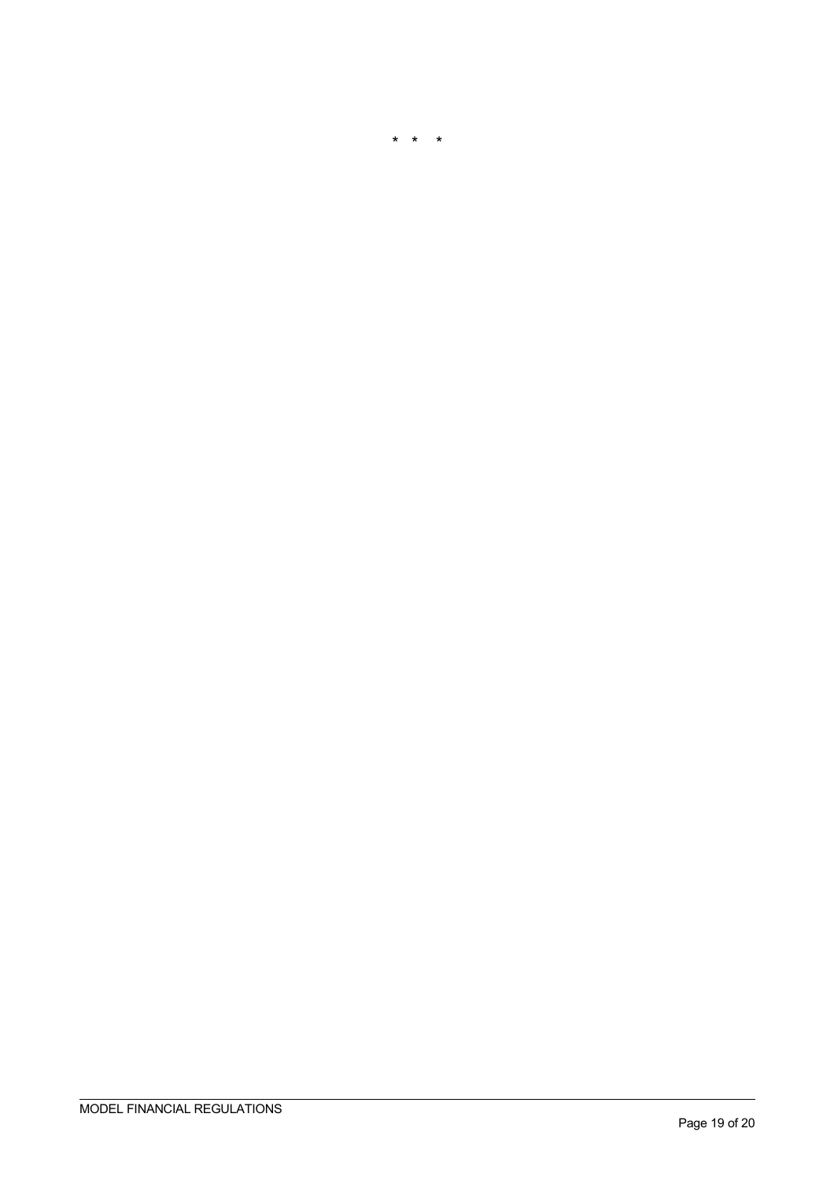MODEL FINANCIAL REGULATIONS

\* \* \*